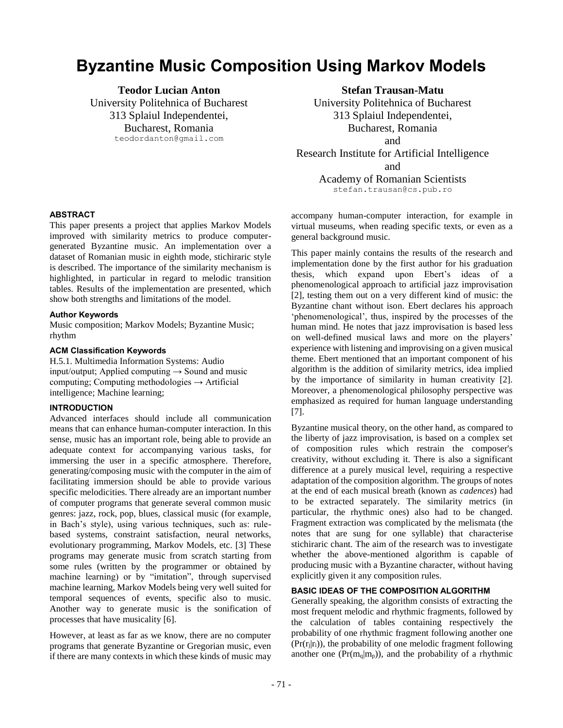# **Byzantine Music Composition Using Markov Models**

**Teodor Lucian Anton** University Politehnica of Bucharest 313 Splaiul Independentei, Bucharest, Romania teodordanton@gmail.com

**Stefan Trausan-Matu**

University Politehnica of Bucharest 313 Splaiul Independentei, Bucharest, Romania and Research Institute for Artificial Intelligence

and

Academy of Romanian Scientists stefan.trausan@cs.pub.ro

accompany human-computer interaction, for example in virtual museums, when reading specific texts, or even as a general background music.

This paper mainly contains the results of the research and implementation done by the first author for his graduation thesis, which expand upon Ebert's ideas of a phenomenological approach to artificial jazz improvisation [2], testing them out on a very different kind of music: the Byzantine chant without ison. Ebert declares his approach 'phenomenological', thus, inspired by the processes of the human mind. He notes that jazz improvisation is based less on well-defined musical laws and more on the players' experience with listening and improvising on a given musical theme. Ebert mentioned that an important component of his algorithm is the addition of similarity metrics, idea implied by the importance of similarity in human creativity [2]. Moreover, a phenomenological philosophy perspective was emphasized as required for human language understanding [7].

Byzantine musical theory, on the other hand, as compared to the liberty of jazz improvisation, is based on a complex set of composition rules which restrain the composer's creativity, without excluding it. There is also a significant difference at a purely musical level, requiring a respective adaptation of the composition algorithm. The groups of notes at the end of each musical breath (known as *cadences*) had to be extracted separately. The similarity metrics (in particular, the rhythmic ones) also had to be changed. Fragment extraction was complicated by the melismata (the notes that are sung for one syllable) that characterise stichiraric chant. The aim of the research was to investigate whether the above-mentioned algorithm is capable of producing music with a Byzantine character, without having explicitly given it any composition rules.

## **BASIC IDEAS OF THE COMPOSITION ALGORITHM**

Generally speaking, the algorithm consists of extracting the most frequent melodic and rhythmic fragments, followed by the calculation of tables containing respectively the probability of one rhythmic fragment following another one  $(Pr(r_i|r_i))$ , the probability of one melodic fragment following another one  $(Pr(m_q|m_p))$ , and the probability of a rhythmic

# **ABSTRACT**

This paper presents a project that applies Markov Models improved with similarity metrics to produce computergenerated Byzantine music. An implementation over a dataset of Romanian music in eighth mode, stichiraric style is described. The importance of the similarity mechanism is highlighted, in particular in regard to melodic transition tables. Results of the implementation are presented, which show both strengths and limitations of the model.

#### **Author Keywords**

Music composition; Markov Models; Byzantine Music; rhythm

## **ACM Classification Keywords**

H.5.1. Multimedia Information Systems: Audio input/output; Applied computing  $\rightarrow$  Sound and music computing; Computing methodologies  $\rightarrow$  Artificial intelligence; Machine learning;

## **INTRODUCTION**

Advanced interfaces should include all communication means that can enhance human-computer interaction. In this sense, music has an important role, being able to provide an adequate context for accompanying various tasks, for immersing the user in a specific atmosphere. Therefore, generating/composing music with the computer in the aim of facilitating immersion should be able to provide various specific melodicities. There already are an important number of computer programs that generate several common music genres: jazz, rock, pop, blues, classical music (for example, in Bach's style), using various techniques, such as: rulebased systems, constraint satisfaction, neural networks, evolutionary programming, Markov Models, etc. [3] These programs may generate music from scratch starting from some rules (written by the programmer or obtained by machine learning) or by "imitation", through supervised machine learning, Markov Models being very well suited for temporal sequences of events, specific also to music. Another way to generate music is the sonification of processes that have musicality [6].

However, at least as far as we know, there are no computer programs that generate Byzantine or Gregorian music, even if there are many contexts in which these kinds of music may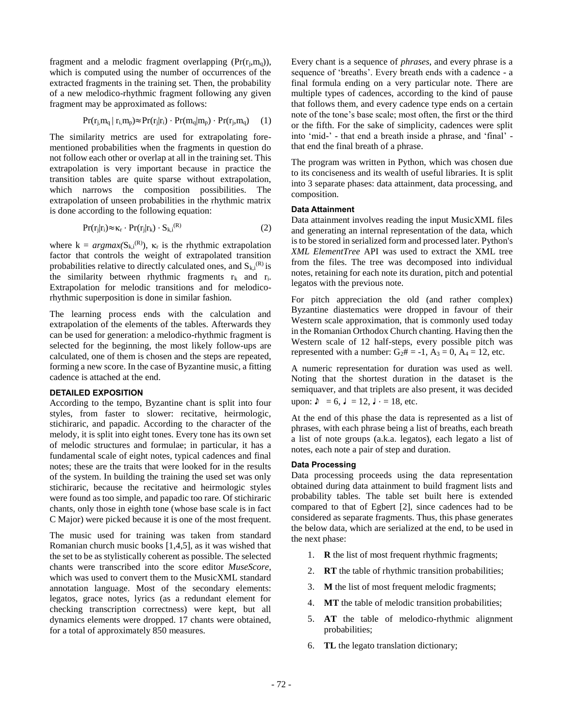fragment and a melodic fragment overlapping  $(Pr(r_i,m_q))$ , which is computed using the number of occurrences of the extracted fragments in the training set. Then, the probability of a new melodico-rhythmic fragment following any given fragment may be approximated as follows:

$$
Pr(r_j, m_q | r_i, m_p) \approx Pr(r_j | r_i) \cdot Pr(m_q | m_p) \cdot Pr(r_j, m_q) \tag{1}
$$

The similarity metrics are used for extrapolating forementioned probabilities when the fragments in question do not follow each other or overlap at all in the training set. This extrapolation is very important because in practice the transition tables are quite sparse without extrapolation, which narrows the composition possibilities. The extrapolation of unseen probabilities in the rhythmic matrix is done according to the following equation:

$$
Pr(r_j|r_i) \approx \kappa_r \cdot Pr(r_j|r_k) \cdot S_{k,i}^{(R)} \tag{2}
$$

where  $k = argmax(S_{k,i}^{(R)})$ ,  $\kappa_r$  is the rhythmic extrapolation factor that controls the weight of extrapolated transition probabilities relative to directly calculated ones, and  $S_{k,i}^{(R)}$  is the similarity between rhythmic fragments  $r_k$  and  $r_i$ . Extrapolation for melodic transitions and for melodicorhythmic superposition is done in similar fashion.

The learning process ends with the calculation and extrapolation of the elements of the tables. Afterwards they can be used for generation: a melodico-rhythmic fragment is selected for the beginning, the most likely follow-ups are calculated, one of them is chosen and the steps are repeated, forming a new score. In the case of Byzantine music, a fitting cadence is attached at the end.

### **DETAILED EXPOSITION**

According to the tempo, Byzantine chant is split into four styles, from faster to slower: recitative, heirmologic, stichiraric, and papadic. According to the character of the melody, it is split into eight tones. Every tone has its own set of melodic structures and formulae; in particular, it has a fundamental scale of eight notes, typical cadences and final notes; these are the traits that were looked for in the results of the system. In building the training the used set was only stichiraric, because the recitative and heirmologic styles were found as too simple, and papadic too rare. Of stichiraric chants, only those in eighth tone (whose base scale is in fact C Major) were picked because it is one of the most frequent.

The music used for training was taken from standard Romanian church music books [1,4,5], as it was wished that the set to be as stylistically coherent as possible. The selected chants were transcribed into the score editor *MuseScore*, which was used to convert them to the MusicXML standard annotation language. Most of the secondary elements: legatos, grace notes, lyrics (as a redundant element for checking transcription correctness) were kept, but all dynamics elements were dropped. 17 chants were obtained, for a total of approximately 850 measures.

Every chant is a sequence of *phrases*, and every phrase is a sequence of 'breaths'. Every breath ends with a cadence - a final formula ending on a very particular note. There are multiple types of cadences, according to the kind of pause that follows them, and every cadence type ends on a certain note of the tone's base scale; most often, the first or the third or the fifth. For the sake of simplicity, cadences were split into 'mid-' - that end a breath inside a phrase, and 'final' that end the final breath of a phrase.

The program was written in Python, which was chosen due to its conciseness and its wealth of useful libraries. It is split into 3 separate phases: data attainment, data processing, and composition.

## **Data Attainment**

Data attainment involves reading the input MusicXML files and generating an internal representation of the data, which is to be stored in serialized form and processed later. Python's *XML ElementTree* API was used to extract the XML tree from the files. The tree was decomposed into individual notes, retaining for each note its duration, pitch and potential legatos with the previous note.

For pitch appreciation the old (and rather complex) Byzantine diastematics were dropped in favour of their Western scale approximation, that is commonly used today in the Romanian Orthodox Church chanting. Having then the Western scale of 12 half-steps, every possible pitch was represented with a number:  $G_2# = -1$ ,  $A_3 = 0$ ,  $A_4 = 12$ , etc.

A numeric representation for duration was used as well. Noting that the shortest duration in the dataset is the semiquaver, and that triplets are also present, it was decided upon:  $\delta = 6$ ,  $\delta = 12$ ,  $\delta = 18$ , etc.

At the end of this phase the data is represented as a list of phrases, with each phrase being a list of breaths, each breath a list of note groups (a.k.a. legatos), each legato a list of notes, each note a pair of step and duration.

## **Data Processing**

Data processing proceeds using the data representation obtained during data attainment to build fragment lists and probability tables. The table set built here is extended compared to that of Egbert [2], since cadences had to be considered as separate fragments. Thus, this phase generates the below data, which are serialized at the end, to be used in the next phase:

- 1. **R** the list of most frequent rhythmic fragments;
- 2. **RT** the table of rhythmic transition probabilities;
- 3. **M** the list of most frequent melodic fragments;
- 4. **MT** the table of melodic transition probabilities;
- 5. **AT** the table of melodico-rhythmic alignment probabilities;
- 6. **TL** the legato translation dictionary;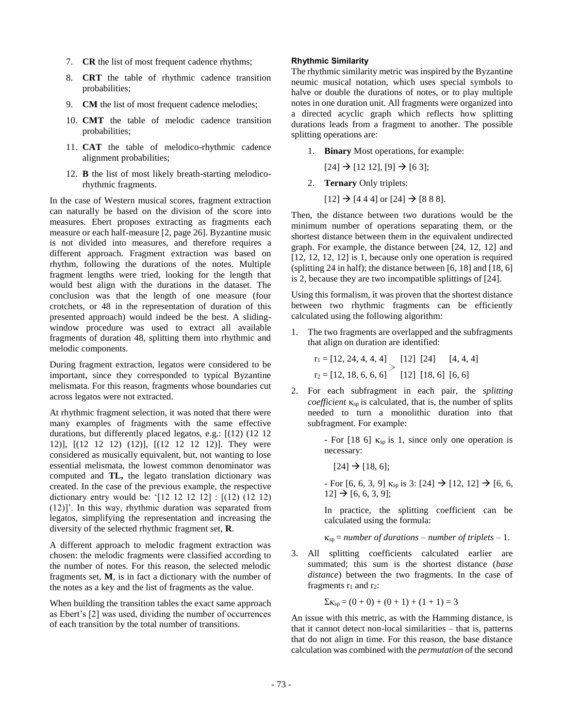- 7. **CR** the list of most frequent cadence rhythms;
- 8. **CRT** the table of rhythmic cadence transition probabilities;
- 9. **CM** the list of most frequent cadence melodies;
- 10. **CMT** the table of melodic cadence transition probabilities;
- 11. **CAT** the table of melodico-rhythmic cadence alignment probabilities;
- 12. **B** the list of most likely breath-starting melodicorhythmic fragments.

In the case of Western musical scores, fragment extraction can naturally be based on the division of the score into measures. Ebert proposes extracting as fragments each measure or each half-measure [2, page 26]. Byzantine music is not divided into measures, and therefore requires a different approach. Fragment extraction was based on rhythm, following the durations of the notes. Multiple fragment lengths were tried, looking for the length that would best align with the durations in the dataset. The conclusion was that the length of one measure (four crotchets, or 48 in the representation of duration of this presented approach) would indeed be the best. A slidingwindow procedure was used to extract all available fragments of duration 48, splitting them into rhythmic and melodic components.

During fragment extraction, legatos were considered to be important, since they corresponded to typical Byzantine melismata. For this reason, fragments whose boundaries cut across legatos were not extracted.

At rhythmic fragment selection, it was noted that there were many examples of fragments with the same effective durations, but differently placed legatos, e.g.: [(12) (12 12 12)], [(12 12 12) (12)], [(12 12 12 12)]. They were considered as musically equivalent, but, not wanting to lose essential melismata, the lowest common denominator was computed and **TL,** the legato translation dictionary was created. In the case of the previous example, the respective dictionary entry would be: '[12 12 12 12] : [(12) (12 12) (12)]'. In this way, rhythmic duration was separated from legatos, simplifying the representation and increasing the diversity of the selected rhythmic fragment set, **R**.

A different approach to melodic fragment extraction was chosen: the melodic fragments were classified according to the number of notes. For this reason, the selected melodic fragments set, **M**, is in fact a dictionary with the number of the notes as a key and the list of fragments as the value.

When building the transition tables the exact same approach as Ebert's [2] was used, dividing the number of occurrences of each transition by the total number of transitions.

## **Rhythmic Similarity**

The rhythmic similarity metric was inspired by the Byzantine neumic musical notation, which uses special symbols to halve or double the durations of notes, or to play multiple notes in one duration unit. All fragments were organized into a directed acyclic graph which reflects how splitting durations leads from a fragment to another. The possible splitting operations are:

1. **Binary** Most operations, for example:

 $[24] \rightarrow [12\ 12]$ ,  $[9] \rightarrow [6\ 3]$ ;

- 2. **Ternary** Only triplets:
	- $[12] \rightarrow [444]$  or  $[24] \rightarrow [888]$ .

Then, the distance between two durations would be the minimum number of operations separating them, or the shortest distance between them in the equivalent undirected graph. For example, the distance between [24, 12, 12] and [12, 12, 12, 12] is 1, because only one operation is required (splitting 24 in half); the distance between [6, 18] and [18, 6] is 2, because they are two incompatible splittings of [24].

Using this formalism, it was proven that the shortest distance between two rhythmic fragments can be efficiently calculated using the following algorithm:

1. The two fragments are overlapped and the subfragments that align on duration are identified:

 $r_1 = [12, 24, 4, 4, 4]$  [12] [24] [4, 4, 4]  $r_2 = [12, 18, 6, 6, 6]$  [12] [18, 6] [6, 6]

2. For each subfragment in each pair, the *splitting coefficient*  $\kappa_{sp}$  is calculated, that is, the number of splits needed to turn a monolithic duration into that subfragment. For example:

> - For [18 6]  $\kappa_{sp}$  is 1, since only one operation is necessary:

 $[24] \rightarrow [18, 6];$ 

- For [6, 6, 3, 9]  $\kappa_{sp}$  is 3: [24]  $\rightarrow$  [12, 12]  $\rightarrow$  [6, 6,  $12] \rightarrow [6, 6, 3, 9];$ 

In practice, the splitting coefficient can be calculated using the formula:

 $\kappa_{sp}$  = *number of durations* – *number of triplets* – 1.

3. All splitting coefficients calculated earlier are summated; this sum is the shortest distance (*base distance*) between the two fragments. In the case of fragments  $r_1$  and  $r_2$ :

$$
\Sigma \kappa_{sp} = (0+0) + (0+1) + (1+1) = 3
$$

An issue with this metric, as with the Hamming distance, is that it cannot detect non-local similarities – that is, patterns that do not align in time. For this reason, the base distance calculation was combined with the *permutation* of the second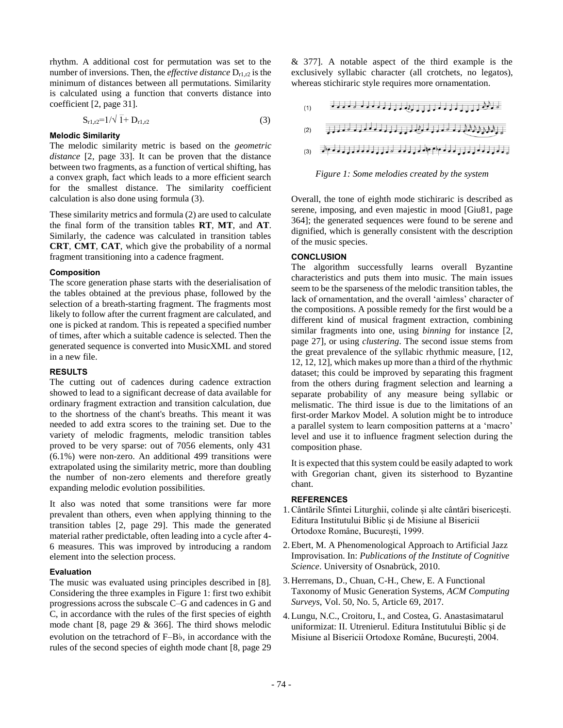rhythm. A additional cost for permutation was set to the number of inversions. Then, the *effective distance*  $D_{r1,r2}$  is the minimum of distances between all permutations. Similarity is calculated using a function that converts distance into coefficient [2, page 31].

$$
S_{r1,r2} = 1/\sqrt{1 + D_{r1,r2}}
$$
 (3)

### **Melodic Similarity**

The melodic similarity metric is based on the *geometric distance* [2, page 33]. It can be proven that the distance between two fragments, as a function of vertical shifting, has a convex graph, fact which leads to a more efficient search for the smallest distance. The similarity coefficient calculation is also done using formula (3).

These similarity metrics and formula (2) are used to calculate the final form of the transition tables **RT**, **MT**, and **AT**. Similarly, the cadence was calculated in transition tables **CRT**, **CMT**, **CAT**, which give the probability of a normal fragment transitioning into a cadence fragment.

### **Composition**

The score generation phase starts with the deserialisation of the tables obtained at the previous phase, followed by the selection of a breath-starting fragment. The fragments most likely to follow after the current fragment are calculated, and one is picked at random. This is repeated a specified number of times, after which a suitable cadence is selected. Then the generated sequence is converted into MusicXML and stored in a new file.

### **RESULTS**

The cutting out of cadences during cadence extraction showed to lead to a significant decrease of data available for ordinary fragment extraction and transition calculation, due to the shortness of the chant's breaths. This meant it was needed to add extra scores to the training set. Due to the variety of melodic fragments, melodic transition tables proved to be very sparse: out of 7056 elements, only 431 (6.1%) were non-zero. An additional 499 transitions were extrapolated using the similarity metric, more than doubling the number of non-zero elements and therefore greatly expanding melodic evolution possibilities.

It also was noted that some transitions were far more prevalent than others, even when applying thinning to the transition tables [2, page 29]. This made the generated material rather predictable, often leading into a cycle after 4- 6 measures. This was improved by introducing a random element into the selection process.

## **Evaluation**

The music was evaluated using principles described in [8]. Considering the three examples in Figure 1: first two exhibit progressions across the subscale C–G and cadences in G and C, in accordance with the rules of the first species of eighth mode chant [8, page 29 & 366]. The third shows melodic evolution on the tetrachord of F–B♭, in accordance with the rules of the second species of eighth mode chant [8, page 29

& 377]. A notable aspect of the third example is the exclusively syllabic character (all crotchets, no legatos), whereas stichiraric style requires more ornamentation.

$$
(1) \qquad \qquad \frac{1}{2} \left[ \frac{1}{2} \left[ \frac{1}{2} \left[ \frac{1}{2} \left[ \frac{1}{2} \left[ \frac{1}{2} \left[ \frac{1}{2} \left[ \frac{1}{2} \left[ \frac{1}{2} \left[ \frac{1}{2} \left[ \frac{1}{2} \left[ \frac{1}{2} \left[ \frac{1}{2} \left[ \frac{1}{2} \left[ \frac{1}{2} \left[ \frac{1}{2} \left[ \frac{1}{2} \left[ \frac{1}{2} \left[ \frac{1}{2} \left[ \frac{1}{2} \left[ \frac{1}{2} \left[ \frac{1}{2} \left[ \frac{1}{2} \left[ \frac{1}{2} \left[ \frac{1}{2} \left[ \frac{1}{2} \left[ \frac{1}{2} \left[ \frac{1}{2} \left[ \frac{1}{2} \left[ \frac{1}{2} \left[ \frac{1}{2} \left[ \frac{1}{2} \left[ \frac{1}{2} \left[ \frac{1}{2} \right] \frac{1}{2} \right] \right] \right) \right] \right) \right] \right) \right] \right]^{2}}{2} \right]^{2}
$$

$$
(2) \qquad \qquad \boxed{ \qquad \qquad } \qquad \boxed{ \qquad \qquad }
$$

$$
(3) \qquad \qquad \text{where} \quad \begin{array}{l} \text{where} \quad \begin{array}{l} \text{where} \quad \begin{array}{l} \text{where} \quad \begin{array}{l} \text{where} \quad \begin{array}{l} \text{where} \quad \begin{array}{l} \text{where} \quad \end{array} \end{array} \end{array} \end{array}
$$

### *Figure 1: Some melodies created by the system*

Overall, the tone of eighth mode stichiraric is described as serene, imposing, and even majestic in mood [Giu81, page 364]; the generated sequences were found to be serene and dignified, which is generally consistent with the description of the music species.

## **CONCLUSION**

The algorithm successfully learns overall Byzantine characteristics and puts them into music. The main issues seem to be the sparseness of the melodic transition tables, the lack of ornamentation, and the overall 'aimless' character of the compositions. A possible remedy for the first would be a different kind of musical fragment extraction, combining similar fragments into one, using *binning* for instance [2, page 27], or using *clustering*. The second issue stems from the great prevalence of the syllabic rhythmic measure, [12, 12, 12, 12], which makes up more than a third of the rhythmic dataset; this could be improved by separating this fragment from the others during fragment selection and learning a separate probability of any measure being syllabic or melismatic. The third issue is due to the limitations of an first-order Markov Model. A solution might be to introduce a parallel system to learn composition patterns at a 'macro' level and use it to influence fragment selection during the composition phase.

It is expected that this system could be easily adapted to work with Gregorian chant, given its sisterhood to Byzantine chant.

## **REFERENCES**

- 1.Cântările Sfintei Liturghii, colinde și alte cântări bisericești. Editura Institutului Biblic și de Misiune al Bisericii Ortodoxe Române, București, 1999.
- 2.Ebert, M. A Phenomenological Approach to Artificial Jazz Improvisation. In: *Publications of the Institute of Cognitive Science*. University of Osnabrück, 2010.
- 3. Herremans, D., Chuan, C-H., Chew, E. A Functional Taxonomy of Music Generation Systems, *ACM Computing Surveys*, Vol. 50, No. 5, Article 69, 2017.
- 4.Lungu, N.C., Croitoru, I., and Costea, G. Anastasimatarul uniformizat: II. Utrenierul. Editura Institutului Biblic și de Misiune al Bisericii Ortodoxe Române, București, 2004.